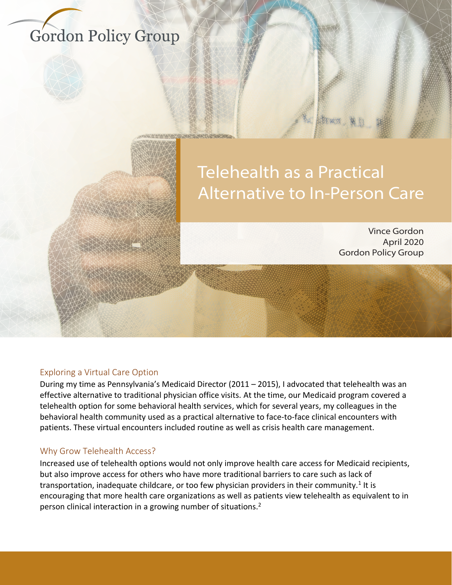# **Gordon Policy Group**

# **Telehealth as a Practical Alternative to In-Person Care**

**Vince Gordon** April 2020 **Gordon Policy Group** 

#### Exploring a Virtual Care Option

During my time as Pennsylvania's Medicaid Director (2011 – 2015), I advocated that telehealth was an effective alternative to traditional physician office visits. At the time, our Medicaid program covered a telehealth option for some behavioral health services, which for several years, my colleagues in the behavioral health community used as a practical alternative to face-to-face clinical encounters with patients. These virtual encounters included routine as well as crisis health care management.

#### Why Grow Telehealth Access?

Increased use of telehealth options would not only improve health care access for Medicaid recipients, but also improve access for others who have more traditional barriers to care such as lack of transportation, inadequate childcare, or too few physician providers in their community.<sup>1</sup> It is encouraging that more health care organizations as well as patients view telehealth as equivalent to in person clinical interaction in a growing number of situations.<sup>2</sup>